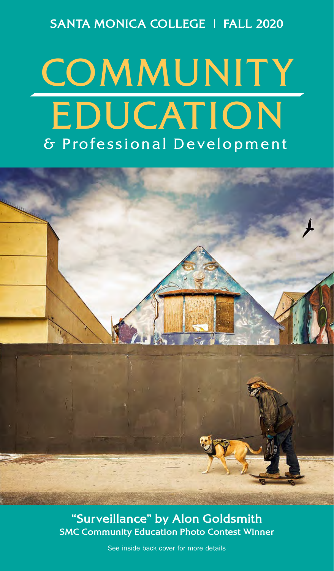**SANTA MONICA COLLEGE** | **FALL 2020**

# & Professional Development **COMMUNITY** EDUCATION



**"Surveillance" by Alon Goldsmith SMC Community Education Photo Contest Winner**

See inside back cover for more details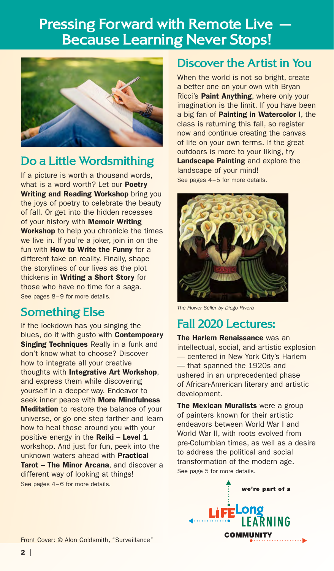# **Pressing Forward with Remote Live — Because Learning Never Stops!**



# **Do a Little Wordsmithing**

If a picture is worth a thousand words, what is a word worth? Let our **Poetry Writing and Reading Workshop bring you** the joys of poetry to celebrate the beauty of fall. Or get into the hidden recesses of your history with Memoir Writing Workshop to help you chronicle the times we live in. If you're a joker, join in on the fun with How to Write the Funny for a different take on reality. Finally, shape the storylines of our lives as the plot thickens in Writing a Short Story for those who have no time for a saga. See pages 8–9 for more details.

# **Something Else**

If the lockdown has you singing the blues, do it with gusto with Contemporary **Singing Techniques** Really in a funk and don't know what to choose? Discover how to integrate all your creative thoughts with Integrative Art Workshop, and express them while discovering yourself in a deeper way. Endeavor to seek inner peace with More Mindfulness **Meditation** to restore the balance of your universe, or go one step farther and learn how to heal those around you with your positive energy in the Reiki - Level 1 workshop. And just for fun, peek into the unknown waters ahead with Practical Tarot - The Minor Arcana, and discover a different way of looking at things! See pages 4–6 for more details.

# **Discover the Artist in You**

When the world is not so bright, create a better one on your own with Bryan Ricci's Paint Anything, where only your imagination is the limit. If you have been a big fan of Painting in Watercolor I, the class is returning this fall, so register now and continue creating the canvas of life on your own terms. If the great outdoors is more to your liking, try Landscape Painting and explore the landscape of your mind! See pages 4–5 for more details.



*The Flower Seller by Diego Rivera*

# **Fall 2020 Lectures:**

The Harlem Renaissance was an intellectual, social, and artistic explosion — centered in New York City's Harlem — that spanned the 1920s and ushered in an unprecedented phase of African-American literary and artistic development.

The Mexican Muralists were a group of painters known for their artistic endeavors between World War I and World War II, with roots evolved from pre-Columbian times, as well as a desire to address the political and social transformation of the modern age. See page 5 for more details.



Front Cover: © Alon Goldsmith, "Surveillance"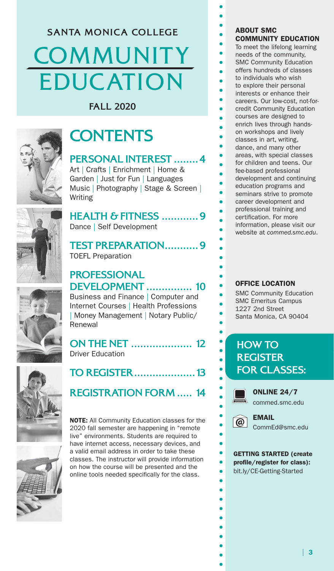# **COMMUNITY** EDUCATION **SANTA MONICA COLLEGE**

**FALL 2020**



# **CONTENTS**

# **PERSONAL INTEREST ........4**

Art | Crafts | Enrichment | Home & Garden | Just for Fun | Languages Music | Photography | Stage & Screen | Writing



**HEALTH & FITNESS ............9** Dance | Self Development

**TEST PREPARATION...........9** TOEFL Preparation

# **PROFESSIONAL DEVELOPMENT ............... 10**

Business and Finance | Computer and Internet Courses | Health Professions | Money Management | Notary Public/ Renewal

**ON THE NET .................... 12** Driver Education

**TO REGISTER....................13**

**REGISTRATION FORM ..... 14**

NOTE: All Community Education classes for the 2020 fall semester are happening in "remote live" environments. Students are required to have internet access, necessary devices, and a valid email address in order to take these classes. The instructor will provide information on how the course will be presented and the online tools needed specifically for the class.

# ABOUT SMC COMMUNITY EDUCATION

To meet the lifelong learning needs of the community, SMC Community Education offers hundreds of classes to individuals who wish to explore their personal interests or enhance their careers. Our low-cost, not-forcredit Community Education courses are designed to enrich lives through handson workshops and lively classes in art, writing, dance, and many other areas, with special classes for children and teens. Our fee-based professional development and continuing education programs and seminars strive to promote career development and professional training and certification. For more information, please visit our website at *commed.smc.edu*.

ä

# OFFICE LOCATION

SMC Community Education SMC Emeritus Campus 1227 2nd Street Santa Monica, CA 90404

# **HOW TO REGISTER FOR CLASSES:**



ONLINE 24/7 commed.smc.edu



EMAIL CommEd@smc.edu

### GETTING STARTED (create profile/register for class): bit.ly/CE-Getting-Started

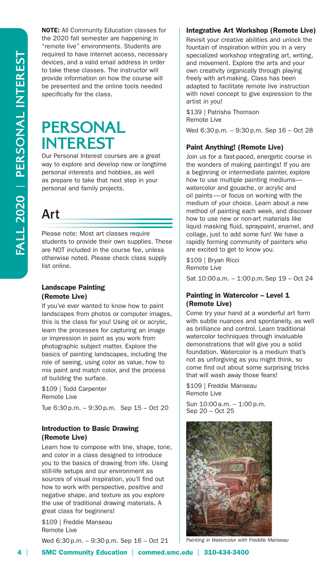**NOTE:** All Community Education classes for the 2020 fall semester are happening in "remote live" environments. Students are required to have internet access, necessary devices, and a valid email address in order to take these classes. The instructor will provide information on how the course will be presented and the online tools needed specifically for the class.

# **PERSONAL INTEREST**

Our Personal Interest courses are a great way to explore and develop new or longtime personal interests and hobbies, as well as prepare to take that next step in your personal and family projects.

# Art

Please note: Most art classes require students to provide their own supplies. These are NOT included in the course fee, unless otherwise noted. Please check class supply list online.

### Landscape Painting (Remote Live)

If you've ever wanted to know how to paint landscapes from photos or computer images, this is the class for you! Using oil or acrylic, learn the processes for capturing an image or impression in paint as you work from photographic subject matter. Explore the basics of painting landscapes, including the role of seeing, using color as value, how to mix paint and match color, and the process of building the surface.

\$109 | Todd Carpenter Remote Live

Tue 6:30 p.m. – 9:30 p.m. Sep 15 – Oct 20

# Introduction to Basic Drawing (Remote Live)

Learn how to compose with line, shape, tone, and color in a class designed to introduce you to the basics of drawing from life. Using still-life setups and our environment as sources of visual inspiration, you'll find out how to work with perspective, positive and negative shape, and texture as you explore the use of traditional drawing materials. A great class for beginners!

\$109 | Freddie Manseau Remote Live

Wed 6:30 p.m. – 9:30 p.m. Sep 16 – Oct 21 *Painting in Watercolor with Freddie Manseau*

# Integrative Art Workshop (Remote Live)

Revisit your creative abilities and unlock the fountain of inspiration within you in a very specialized workshop integrating art, writing, and movement. Explore the arts and your own creativity organically through playing freely with art-making. Class has been adapted to facilitate remote live instruction with novel concept to give expression to the artist in you!

\$139 | Patrisha Thomson Remote Live

Wed 6:30 p.m. – 9:30 p.m. Sep 16 – Oct 28

# Paint Anything! (Remote Live)

Join us for a fast-paced, energetic course in the wonders of making paintings! If you are a beginning or intermediate painter, explore how to use multiple painting mediums watercolor and gouache, or acrylic and oil paints—or focus on working with the medium of your choice. Learn about a new method of painting each week, and discover how to use new or non-art materials like liquid masking fluid, spraypaint, enamel, and collage, just to add some fun! We have a rapidly forming community of painters who are excited to get to know you.

\$109 | Bryan Ricci Remote Live

Sat 10:00 a.m. – 1:00 p.m.Sep 19 – Oct 24

## Painting in Watercolor – Level 1 (Remote Live)

Come try your hand at a wonderful art form with subtle nuances and spontaneity, as well as brilliance and control. Learn traditional watercolor techniques through invaluable demonstrations that will give you a solid foundation. Watercolor is a medium that's not as unforgiving as you might think, so come find out about some surprising tricks that will wash away those fears!

\$109 | Freddie Manseau Remote Live

Sun 10:00 a.m. – 1:00 p.m. Sep 20 – Oct 25

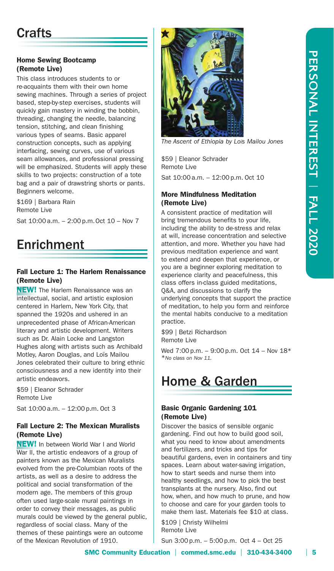# **Crafts**

# Home Sewing Bootcamp (Remote Live)

This class introduces students to or re-acquaints them with their own home sewing machines. Through a series of project based, step-by-step exercises, students will quickly gain mastery in winding the bobbin, threading, changing the needle, balancing tension, stitching, and clean finishing various types of seams. Basic apparel construction concepts, such as applying interfacing, sewing curves, use of various seam allowances, and professional pressing will be emphasized. Students will apply these skills to two projects: construction of a tote bag and a pair of drawstring shorts or pants. Beginners welcome.

\$169 | Barbara Rain Remote Live Sat 10:00 a.m. – 2:00 p.m.Oct 10 – Nov 7

# Enrichment

# Fall Lecture 1: The Harlem Renaissance (Remote Live)

**NEW!** The Harlem Renaissance was an intellectual, social, and artistic explosion centered in Harlem, New York City, that spanned the 1920s and ushered in an unprecedented phase of African-American literary and artistic development. Writers such as Dr. Alain Locke and Langston Hughes along with artists such as Archibald Motley, Aaron Douglas, and Loïs Mailou Jones celebrated their culture to bring ethnic consciousness and a new identity into their artistic endeavors.

\$59 | Eleanor Schrader Remote Live

Sat 10:00 a.m. – 12:00 p.m. Oct 3

## Fall Lecture 2: The Mexican Muralists (Remote Live)

NEW! In between World War I and World War II, the artistic endeavors of a group of painters known as the Mexican Muralists evolved from the pre-Columbian roots of the artists, as well as a desire to address the political and social transformation of the modern age. The members of this group often used large-scale mural paintings in order to convey their messages, as public murals could be viewed by the general public, regardless of social class. Many of the themes of these paintings were an outcome of the Mexican Revolution of 1910.



*The Ascent of Ethiopia by Loïs Mailou Jones*

\$59 | Eleanor Schrader Remote Live

Sat 10:00 a.m. – 12:00 p.m. Oct 10

# More Mindfulness Meditation (Remote Live)

A consistent practice of meditation will bring tremendous benefits to your life, including the ability to de-stress and relax at will, increase concentration and selective attention, and more. Whether you have had previous meditation experience and want to extend and deepen that experience, or you are a beginner exploring meditation to experience clarity and peacefulness, this class offers in-class guided meditations, Q&A, and discussions to clarify the underlying concepts that support the practice of meditation, to help you form and reinforce the mental habits conducive to a meditation practice.

\$99 | Betzi Richardson Remote Live

Wed 7:00 p.m. – 9:00 p.m. Oct 14 – Nov 18\* \**No class on Nov 11.*

# Home & Garden

# Basic Organic Gardening 101 (Remote Live)

Discover the basics of sensible organic gardening. Find out how to build good soil, what you need to know about amendments and fertilizers, and tricks and tips for beautiful gardens, even in containers and tiny spaces. Learn about water-saving irrigation, how to start seeds and nurse them into healthy seedlings, and how to pick the best transplants at the nursery. Also, find out how, when, and how much to prune, and how to choose and care for your garden tools to make them last. Materials fee \$10 at class.

\$109 | Christy Wilhelmi Remote Live

Sun 3:00 p.m. – 5:00 p.m. Oct 4 – Oct 25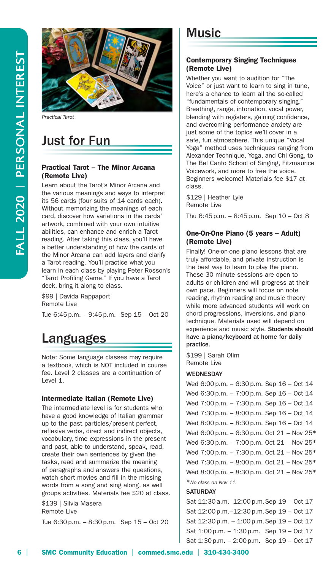

*Practical Tarot*

# Just for Fun

### Practical Tarot – The Minor Arcana (Remote Live)

Learn about the Tarot's Minor Arcana and the various meanings and ways to interpret its 56 cards (four suits of 14 cards each). Without memorizing the meanings of each card, discover how variations in the cards' artwork, combined with your own intuitive abilities, can enhance and enrich a Tarot reading. After taking this class, you'll have a better understanding of how the cards of the Minor Arcana can add layers and clarify a Tarot reading. You'll practice what you learn in each class by playing Peter Rosson's "Tarot Profiling Game." If you have a Tarot deck, bring it along to class.

\$99 | Davida Rappaport Remote Live

Tue 6:45 p.m. – 9:45 p.m. Sep 15 – Oct 20

# Languages

Note: Some language classes may require a textbook, which is NOT included in course fee. Level 2 classes are a continuation of Level 1.

### Intermediate Italian (Remote Live)

The intermediate level is for students who have a good knowledge of Italian grammar up to the past particles/present perfect, reflexive verbs, direct and indirect objects, vocabulary, time expressions in the present and past, able to understand, speak, read, create their own sentences by given the tasks, read and summarize the meaning of paragraphs and answers the questions, watch short movies and fill in the missing words from a song and sing along, as well groups activities. Materials fee \$20 at class.

\$139 | Silvia Masera Remote Live

Tue 6:30 p.m. – 8:30 p.m. Sep 15 – Oct 20

# **Music**

### Contemporary Singing Techniques (Remote Live)

Whether you want to audition for "The Voice" or just want to learn to sing in tune, here's a chance to learn all the so-called "fundamentals of contemporary singing." Breathing, range, intonation, vocal power, blending with registers, gaining confidence, and overcoming performance anxiety are just some of the topics we'll cover in a safe, fun atmosphere. This unique "Vocal Yoga" method uses techniques ranging from Alexander Technique, Yoga, and Chi Gong, to The Bel Canto School of Singing, Fitzmaurice Voicework, and more to free the voice. Beginners welcome! Materials fee \$17 at class.

\$129 | Heather Lyle Remote Live

Thu 6:45 p.m. – 8:45 p.m. Sep 10 – Oct 8

## One-On-One Piano (5 years – Adult) (Remote Live)

Finally! One-on-one piano lessons that are truly affordable, and private instruction is the best way to learn to play the piano. These 30 minute sessions are open to adults or children and will progress at their own pace. Beginners will focus on note reading, rhythm reading and music theory while more advanced students will work on chord progressions, inversions, and piano technique. Materials used will depend on experience and music style. Students should have a piano/keyboard at home for daily practice.

\$199 | Sarah Olim Remote Live

### **WEDNESDAY**

```
Wed 6:00 p.m. – 6:30 p.m. Sep 16 – Oct 14
Wed 6:30 p.m. – 7:00 p.m. Sep 16 – Oct 14
Wed 7:00 p.m. – 7:30 p.m. Sep 16 – Oct 14
Wed 7:30 p.m. – 8:00 p.m. Sep 16 – Oct 14
Wed 8:00 p.m. – 8:30 p.m. Sep 16 – Oct 14
Wed 6:00 p.m. – 6:30 p.m. Oct 21 – Nov 25*
Wed 6:30 p.m. – 7:00 p.m. Oct 21 – Nov 25*
Wed 7:00 p.m. – 7:30 p.m. Oct 21 – Nov 25*
Wed 7:30 p.m. – 8:00 p.m. Oct 21 – Nov 25*
Wed 8:00 p.m. – 8:30 p.m. Oct 21 – Nov 25*
*No class on Nov 11.
```
### **SATURDAY**

Sat 11:30 a.m.–12:00 p.m.Sep 19 – Oct 17 Sat 12:00 p.m.–12:30 p.m.Sep 19 – Oct 17 Sat 12:30 p.m. – 1:00 p.m.Sep 19 – Oct 17 Sat 1:00 p.m. – 1:30 p.m. Sep 19 – Oct 17 Sat 1:30 p.m. – 2:00 p.m. Sep 19 – Oct 17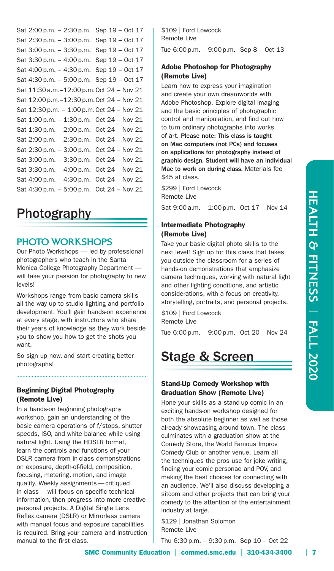| Sat 2:00 p.m. - 2:30 p.m. Sep 19 - Oct 17        |                 |
|--------------------------------------------------|-----------------|
| Sat 2:30 p.m. - 3:00 p.m. Sep 19 - Oct 17        |                 |
| Sat 3:00 p.m. - 3:30 p.m. Sep 19 - Oct 17        |                 |
| Sat 3:30 p.m. - 4:00 p.m. Sep 19 - Oct 17        |                 |
| Sat 4:00 p.m. - 4:30 p.m. Sep 19 - Oct 17        |                 |
| Sat $4:30$ p.m. $-5:00$ p.m. Sep $19 - Oct 17$   |                 |
| Sat 11:30 a.m. - 12:00 p.m. Oct 24 - Nov 21      |                 |
| Sat 12:00 p.m. - 12:30 p.m. Oct 24 - Nov 21      |                 |
| Sat 12:30 p.m. - 1:00 p.m. Oct 24 - Nov 21       |                 |
| Sat 1:00 p.m. - 1:30 p.m. Oct 24 - Nov 21        |                 |
| Sat $1:30$ p.m. $-2:00$ p.m. Oct $24$ – Nov $21$ |                 |
| Sat 2:00 p.m. – 2:30 p.m.                        | Oct 24 - Nov 21 |
| Sat $2:30 \text{ p.m.} - 3:00 \text{ p.m.}$      | Oct 24 - Nov 21 |
| Sat $3:00$ p.m. $-3:30$ p.m.                     | Oct 24 - Nov 21 |
| Sat 3:30 p.m. - 4:00 p.m.                        | Oct 24 - Nov 21 |
| Sat 4:00 p.m. - 4:30 p.m.                        | Oct 24 - Nov 21 |
| Sat $4:30 p.m. - 5:00 p.m.$                      | Oct 24 - Nov 21 |

# Photography

# **PHOTO WORKSHOPS**

Our Photo Workshops — led by professional photographers who teach in the Santa Monica College Photography Department will take your passion for photography to new levels!

Workshops range from basic camera skills all the way up to studio lighting and portfolio development. You'll gain hands-on experience at every stage, with instructors who share their years of knowledge as they work beside you to show you how to get the shots you want.

So sign up now, and start creating better photographs!

### Beginning Digital Photography (Remote LIve)

In a hands-on beginning photography workshop, gain an understanding of the basic camera operations of f/stops, shutter speeds, ISO, and white balance while using natural light. Using the HDSLR format, learn the controls and functions of your DSLR camera from in-class demonstrations on exposure, depth-of-field, composition, focusing, metering, motion, and image quality. Weekly assignments—critiqued in class—will focus on specific technical information, then progress into more creative personal projects. A Digital Single Lens Reflex camera (DSLR) or Mirrorless camera with manual focus and exposure capabilities is required. Bring your camera and instruction manual to the first class.

\$109 | Ford Lowcock Remote Live Tue 6:00 p.m. – 9:00 p.m. Sep 8 – Oct 13

# Adobe Photoshop for Photography (Remote Live)

Learn how to express your imagination and create your own dreamworlds with Adobe Photoshop. Explore digital imaging and the basic principles of photographic control and manipulation, and find out how to turn ordinary photographs into works of art. Please note: This class is taught on Mac computers (not PCs) and focuses on applications for photography instead of graphic design. Student will have an individual Mac to work on during class. Materials fee \$45 at class.

\$299 | Ford Lowcock Remote Live

Sat 9:00 a.m. – 1:00 p.m. Oct 17 – Nov 14

### Intermediate Photography (Remote Live)

Take your basic digital photo skills to the next level! Sign up for this class that takes you outside the classroom for a series of hands-on demonstrations that emphasize camera techniques, working with natural light and other lighting conditions, and artistic considerations, with a focus on creativity, storytelling, portraits, and personal projects.

\$109 | Ford Lowcock Remote Live

Tue 6:00 p.m. – 9:00 p.m. Oct 20 – Nov 24

# Stage & Screen

## Stand-Up Comedy Workshop with Graduation Show (Remote Live)

Hone your skills as a stand-up comic in an exciting hands-on workshop designed for both the absolute beginner as well as those already showcasing around town. The class culminates with a graduation show at the Comedy Store, the World Famous Improv Comedy Club or another venue. Learn all the techniques the pros use for joke writing, finding your comic personae and POV, and making the best choices for connecting with an audience. We'll also discuss developing a sitcom and other projects that can bring your comedy to the attention of the entertainment industry at large.

\$129 | Jonathan Solomon Remote Live

Thu 6:30 p.m. – 9:30 p.m. Sep 10 – Oct 22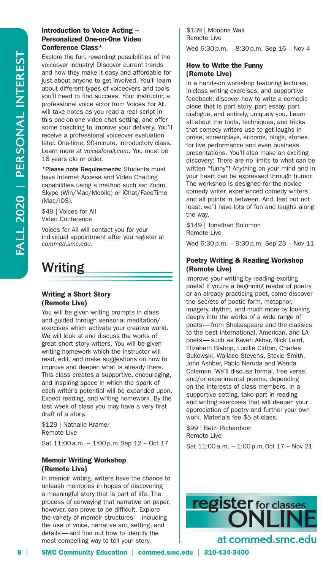### Introduction to Voice Acting – Personalized One-on-One Video Conference Class\*

Explore the fun, rewarding possibilities of the voiceover industry! Discover current trends and how they make it easy and affordable for just about anyone to get involved. You'll learn about different types of voiceovers and tools you'll need to find success. Your instructor, a professional voice actor from Voices For All, will take notes as you read a real script in this one-on-one video chat setting, and offer some coaching to improve your delivery. You'll receive a professional voiceover evaluation later. One-time, 90-minute, introductory class. Learn more at *voicesforall.com*. You must be 18 years old or older.

\*Please note Requirements: Students must have Internet Access and Video Chatting capabilities using a method such as: Zoom, Skype (Win/Mac/Mobile) or iChat/FaceTime (Mac/iOS).

\$49 | Voices for All Video Conference

Voices for All will contact you for your individual appointment after you register at *commed.smc.edu*.

# Writing

### Writing a Short Story (Remote Live)

You will be given writing prompts in class and guided through sensorial meditation/ exercises which activate your creative world. We will look at and discuss the works of great short story writers. You will be given writing homework which the instructor will read, edit, and make suggestions on how to improve and deepen what is already there. This class creates a supportive, encouraging, and inspiring space in which the spark of each writer's potential will be expanded upon. Expect reading, and writing homework. By the last week of class you may have a very first draft of a story.

\$129 | Nathalie Kramer Remote Live

Sat 11:00 a.m. – 1:00 p.m.Sep 12 – Oct 17

## Memoir Writing Workshop (Remote Live)

In memoir writing, writers have the chance to unleash memories in hopes of discovering a meaningful story that is part of life. The process of conveying that narrative on paper, however, can prove to be difficult. Explore the variety of memoir structures—including the use of voice, narrative arc, setting, and details—and find out how to identify the most compelling way to tell your story.

\$139 | Monona Wali Remote Live Wed 6:30 p.m. – 8:30 p.m. Sep 16 – Nov 4

### How to Write the Funny (Remote Live)

In a hands-on workshop featuring lectures, in-class writing exercises, and supportive feedback, discover how to write a comedic piece that is part story, part essay, part dialogue, and entirely, uniquely you. Learn all about the tools, techniques, and tricks that comedy writers use to get laughs in prose, screenplays, sitcoms, blogs, stories for live performance and even business presentations. You'll also make an exciting discovery: There are no limits to what can be written "funny"! Anything on your mind and in your heart can be expressed through humor. The workshop is designed for the novice comedy writer, experienced comedy writers, and all points in between. And, last but not least, we'll have lots of fun and laughs along the way.

\$149 | Jonathan Solomon Remote Live

Wed 6:30 p.m. – 9:30 p.m. Sep 23 – Nov 11

### Poetry Writing & Reading Workshop (Remote Live)

Improve your writing by reading exciting poets! If you're a beginning reader of poetry or an already practicing poet, come discover the secrets of poetic form, metaphor, imagery, rhythm, and much more by looking deeply into the works of a wide range of poets—from Shakespeare and the classics to the best international, American, and LA poets—such as Kaveh Akbar, Nick Laird, Elizabeth Bishop, Lucille Clifton, Charles Bukowski, Wallace Stevens, Stevie Smith, John Ashber, Pablo Neruda and Wanda Coleman. We'll discuss formal, free verse, and/or experimental poems, depending on the interests of class members. In a supportive setting, take part in reading and writing exercises that will deepen your appreciation of poetry and further your own work. Materials fee \$5 at class.

\$99 | Betzi Richardson Remote Live

Sat 11:00 a.m. – 1:00 p.m.Oct 17 – Nov 21



**at commed.smc.edu**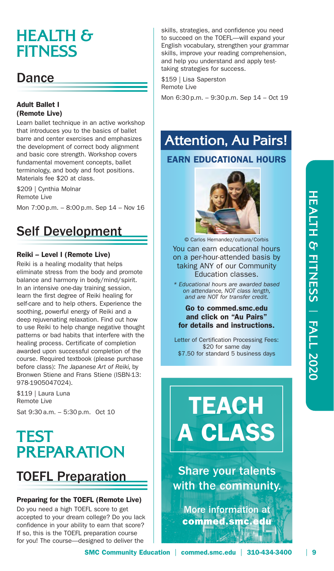# **HEALTH & FITNESS** HEALTH & FITNESS | FALL 2020 **FALL 2020**

# **HEALTH & FITNESS**

# Dance

# Adult Ballet I (Remote Live)

Learn ballet technique in an active workshop that introduces you to the basics of ballet barre and center exercises and emphasizes the development of correct body alignment and basic core strength. Workshop covers fundamental movement concepts, ballet terminology, and body and foot positions. Materials fee \$20 at class.

\$209 | Cynthia Molnar Remote Live

Mon 7:00 p.m. – 8:00 p.m. Sep 14 – Nov 16

# Self Development

# Reiki – Level I (Remote Live)

Reiki is a healing modality that helps eliminate stress from the body and promote balance and harmony in body/mind/spirit. In an intensive one-day training session, learn the first degree of Reiki healing for self-care and to help others. Experience the soothing, powerful energy of Reiki and a deep rejuvenating relaxation. Find out how to use Reiki to help change negative thought patterns or bad habits that interfere with the healing process. Certificate of completion awarded upon successful completion of the course. Required textbook (please purchase before class): *The Japanese Art of Reiki,* by Bronwen Stiene and Frans Stiene (ISBN-13: 978-1905047024).

\$119 | Laura Luna Remote Live Sat 9:30 a.m. – 5:30 p.m. Oct 10

# **TEST PREPARATION**

# TOEFL Preparation

# Preparing for the TOEFL (Remote Live)

Do you need a high TOEFL score to get accepted to your dream college? Do you lack confidence in your ability to earn that score? If so, this is the TOEFL preparation course for you! The course—designed to deliver the

skills, strategies, and confidence you need to succeed on the TOEFL—will expand your English vocabulary, strengthen your grammar skills, improve your reading comprehension, and help you understand and apply testtaking strategies for success.

\$159 | Lisa Saperston Remote Live Mon 6:30 p.m. – 9:30 p.m. Sep 14 – Oct 19

# **Attention, Au Pairs!**

# EARN EDUCATIONAL HOURS



You can earn educational hours on a per-hour-attended basis by taking ANY of our Community Education classes. © Carlos Hernandez/cultura/Corbis

*\* Educational hours are awarded based on attendance, NOT class length, and are NOT for transfer credit.*

### Go to commed.smc.edu and click on "Au Pairs" for details and instructions.

Letter of Certification Processing Fees: \$20 for same day \$7.50 for standard 5 business days

**TEACH** A CLASS

Share your talents with the community.

More information at commed.smc.edu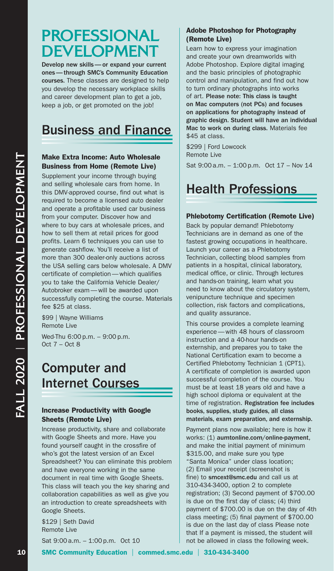# **PROFESSIONAL DEVELOPMENT**

Develop new skills—or expand your current ones—through SMC's Community Education courses. These classes are designed to help you develop the necessary workplace skills and career development plan to get a job, keep a job, or get promoted on the job!

# Business and Finance

# Make Extra Income: Auto Wholesale Business from Home (Remote Live)

Supplement your income through buying and selling wholesale cars from home. In this DMV-approved course, find out what is required to become a licensed auto dealer and operate a profitable used car business from your computer. Discover how and where to buy cars at wholesale prices, and how to sell them at retail prices for good profits. Learn 6 techniques you can use to generate cashflow. You'll receive a list of more than 300 dealer-only auctions across the USA selling cars below wholesale. A DMV certificate of completion—which qualifies you to take the California Vehicle Dealer/ Autobroker exam—will be awarded upon successfully completing the course. Materials fee \$25 at class.

\$99 | Wayne Williams Remote Live

Wed-Thu 6:00 p.m. – 9:00 p.m. Oct 7 – Oct 8

# Computer and Internet Courses

## Increase Productivity with Google Sheets (Remote Live)

Increase productivity, share and collaborate with Google Sheets and more. Have you found yourself caught in the crossfire of who's got the latest version of an Excel Spreadsheet? You can eliminate this problem and have everyone working in the same document in real time with Google Sheets. This class will teach you the key sharing and collaboration capabilities as well as give you an introduction to create spreadsheets with Google Sheets.

\$129 | Seth David Remote Live

Sat 9:00 a.m. – 1:00 p.m. Oct 10

# Adobe Photoshop for Photography (Remote Live)

Learn how to express your imagination and create your own dreamworlds with Adobe Photoshop. Explore digital imaging and the basic principles of photographic control and manipulation, and find out how to turn ordinary photographs into works of art. Please note: This class is taught on Mac computers (not PCs) and focuses on applications for photography instead of graphic design. Student will have an individual Mac to work on during class. Materials fee \$45 at class.

\$299 | Ford Lowcock Remote Live

Sat 9:00 a.m. – 1:00 p.m. Oct 17 – Nov 14

# Health Professions

### Phlebotomy Certification (Remote Live)

Back by popular demand! Phlebotomy Technicians are in demand as one of the fastest growing occupations in healthcare. Launch your career as a Phlebotomy Technician, collecting blood samples from patients in a hospital, clinical laboratory, medical office, or clinic. Through lectures and hands-on training, learn what you need to know about the circulatory system, venipuncture technique and specimen collection, risk factors and complications, and quality assurance.

This course provides a complete learning experience—with 48 hours of classroom instruction and a 40-hour hands-on externship, and prepares you to take the National Certification exam to become a Certified Phlebotomy Technician 1 (CPT1). A certificate of completion is awarded upon successful completion of the course. You must be at least 18 years old and have a high school diploma or equivalent at the time of registration. Registration fee includes books, supplies, study guides, all class materials, exam preparation, and externship.

Payment plans now available; here is how it works: (1) aumtonline.com/online-payment, and make the initial payment of minimum \$315.00, and make sure you type "Santa Monica" under class location; (2) Email your receipt (screenshot is fine) to smcext@smc.edu and call us at 310-434-3400, option 2 to complete registration; (3) Second payment of \$700.00 is due on the first day of class; (4) third payment of \$700.00 is due on the day of 4th class meeting; (5) final payment of \$700.00 is due on the last day of class Please note that If a payment is missed, the student will not be allowed in class the following week.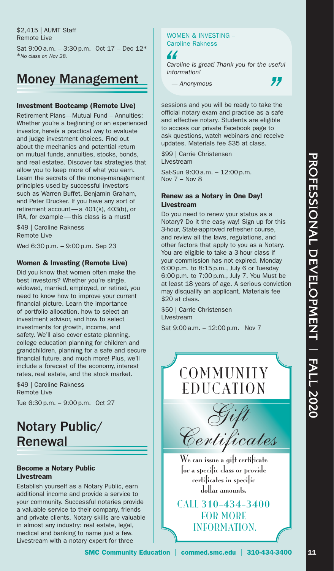\$2,415 | AUMT Staff Remote Live Sat 9:00 a.m. – 3:30 p.m. Oct 17 – Dec 12\* \**No class on Nov 28.*

# Money Management

### Investment Bootcamp (Remote Live)

Retirement Plans—Mutual Fund – Annuities: Whether you're a beginning or an experienced investor, hereís a practical way to evaluate and judge investment choices. Find out about the mechanics and potential return on mutual funds, annuities, stocks, bonds, and real estates. Discover tax strategies that allow you to keep more of what you earn. Learn the secrets of the money-management principles used by successful investors such as Warren Buffet, Benjamin Graham, and Peter Drucker. If you have any sort of retirement account—a 401(k), 403(b), or IRA, for example—this class is a must!

\$49 | Caroline Rakness Remote Live

Wed 6:30 p.m. – 9:00 p.m. Sep 23

### Women & Investing (Remote Live)

Did you know that women often make the best investors? Whether you're single, widowed, married, employed, or retired, you need to know how to improve your current financial picture. Learn the importance of portfolio allocation, how to select an investment advisor, and how to select investments for growth, income, and safety. We'll also cover estate planning, college education planning for children and grandchildren, planning for a safe and secure financial future, and much more! Plus, we'll include a forecast of the economy, interest rates, real estate, and the stock market.

\$49 | Caroline Rakness Remote Live Tue 6:30 p.m. – 9:00 p.m. Oct 27

# Notary Public/ Renewal

### Become a Notary Public Livestream

Establish yourself as a Notary Public, earn additional income and provide a service to your community. Successful notaries provide a valuable service to their company, friends and private clients. Notary skills are valuable in almost any industry: real estate, legal, medical and banking to name just a few. Livestream with a notary expert for three

### WOMEN & INVESTING – Caroline Rakness



*Caroline is great! Thank you for the useful information!*

*— Anonymous*



sessions and you will be ready to take the official notary exam and practice as a safe and effective notary. Students are eligible to access our private Facebook page to ask questions, watch webinars and receive updates. Materials fee \$35 at class.

\$99 | Carrie Christensen LIvestream

Sat-Sun 9:00 a.m. – 12:00 p.m. Nov 7 – Nov 8

### Renew as a Notary in One Day! Livestream

Do you need to renew your status as a Notary? Do it the easy way! Sign up for this 3-hour, State-approved refresher course, and review all the laws, regulations, and other factors that apply to you as a Notary. You are eligible to take a 3-hour class if your commission has not expired. Monday 6:00 p.m. to 8:15 p.m., July 6 or Tuesday 6:00 p.m. to 7:00 p.m., July 7. You Must be at least 18 years of age. A serious conviction may disqualify an applicant. Materials fee \$20 at class.

\$50 | Carrie Christensen LIvestream

Sat 9:00 a.m. – 12:00 p.m. Nov 7

**COMMUNITY** EDUCATION Certificates

We can issue a gift certificate for a specific class or provide certificates in specific dollar amounts.

CALL 310-434-3400 FOR MORE INFORMATION.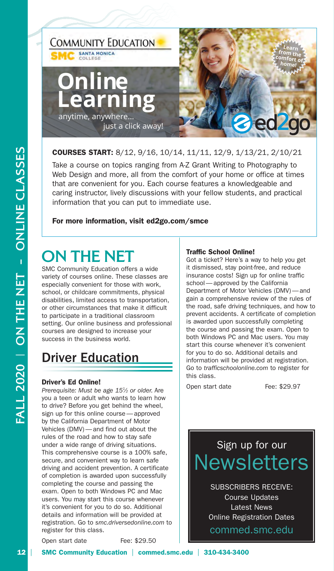

# COURSES START: 8/12, 9/16, 10/14, 11/11, 12/9, 1/13/21, 2/10/21

Take a course on topics ranging from A-Z Grant Writing to Photography to Web Design and more, all from the comfort of your home or office at times that are convenient for you. Each course features a knowledgeable and caring instructor, lively discussions with your fellow students, and practical information that you can put to immediate use.

## For more information, visit ed2go.com/smce

# **ON THE NET**

SMC Community Education offers a wide variety of courses online. These classes are especially convenient for those with work, school, or childcare commitments, physical disabilities, limited access to transportation, or other circumstances that make it difficult to participate in a traditional classroom setting. Our online business and professional courses are designed to increase your success in the business world.

# Driver Education

## Driver's Ed Online!

*Prerequisite: Must be age 151 ⁄2 or older.* Are you a teen or adult who wants to learn how to drive? Before you get behind the wheel, sign up for this online course—approved by the California Department of Motor Vehicles (DMV)—and find out about the rules of the road and how to stay safe under a wide range of driving situations. This comprehensive course is a 100% safe, secure, and convenient way to learn safe driving and accident prevention. A certificate of completion is awarded upon successfully completing the course and passing the exam. Open to both Windows PC and Mac users. You may start this course whenever it's convenient for you to do so. Additional details and information will be provided at registration. Go to *smc.driversedonline.com* to register for this class.

### Traffic School Online!

Got a ticket? Here's a way to help you get it dismissed, stay point-free, and reduce insurance costs! Sign up for online traffic school—approved by the California Department of Motor Vehicles (DMV)—and gain a comprehensive review of the rules of the road, safe driving techniques, and how to prevent accidents. A certificate of completion is awarded upon successfully completing the course and passing the exam. Open to both Windows PC and Mac users. You may start this course whenever it's convenient for you to do so. Additional details and information will be provided at registration. Go to *trafficschoolonline.com* to register for this class.

Open start date Fee: \$29.97

# Sign up for our Newsletters

SUBSCRIBERS RECEIVE: Course Updates Latest News Online Registration Dates commed.smc.edu

Open start date Fee: \$29.50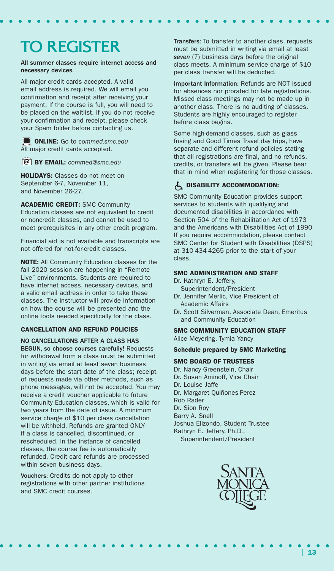# **TO REGISTER**

### All summer classes require internet access and necessary devices.

All major credit cards accepted. A valid email address is required. We will email you confirmation and receipt after receiving your payment. If the course is full, you will need to be placed on the waitlist. If you do not receive your confirmation and receipt, please check your Spam folder before contacting us.

ONLINE: Go to *commed.smc.edu* All major credit cards accepted.

BY EMAIL: *commed@smc.edu*

HOLIDAYS: Classes do not meet on September 6-7, November 11, and November 26-27.

ACADEMIC CREDIT: SMC Community Education classes are not equivalent to credit or noncredit classes, and cannot be used to meet prerequisites in any other credit program.

Financial aid is not available and transcripts are not offered for not-for-credit classes.

NOTE: All Community Education classes for the fall 2020 session are happening in "Remote Live" environments. Students are required to have internet access, necessary devices, and a valid email address in order to take these classes. The instructor will provide information on how the course will be presented and the online tools needed specifically for the class.

### CANCELLATION AND REFUND POLICIES

NO CANCELLATIONS AFTER A CLASS HAS BEGUN, so choose courses carefully! Requests for withdrawal from a class must be submitted in writing via email at least seven business days before the start date of the class; receipt of requests made via other methods, such as phone messages, will not be accepted. You may receive a credit voucher applicable to future Community Education classes, which is valid for two years from the date of issue. A minimum service charge of \$10 per class cancellation will be withheld. Refunds are granted ONLY if a class is cancelled, discontinued, or rescheduled. In the instance of cancelled classes, the course fee is automatically refunded. Credit card refunds are processed within seven business days.

Vouchers: Credits do not apply to other registrations with other partner institutions and SMC credit courses.

Transfers: To transfer to another class, requests must be submitted in writing via email at least *seven* (7) business days before the original class meets. A minimum service charge of \$10 per class transfer will be deducted.

Important Information: Refunds are NOT issued for absences nor prorated for late registrations. Missed class meetings may not be made up in another class. There is no auditing of classes. Students are highly encouraged to register before class begins.

Some high-demand classes, such as glass fusing and Good Times Travel day trips, have separate and different refund policies stating that all registrations are final, and no refunds, credits, or transfers will be given. Please bear that in mind when registering for those classes.

# $\epsilon$ <sub>)</sub> DISABILITY ACCOMMODATION:

SMC Community Education provides support services to students with qualifying and documented disabilities in accordance with Section 504 of the Rehabilitation Act of 1973 and the Americans with Disabilities Act of 1990 If you require accommodation, please contact SMC Center for Student with Disabilities (DSPS) at 310-434-4265 prior to the start of your class.

### SMC ADMINISTRATION AND STAFF

- Dr. Kathryn E. Jeffery, Superintendent/President
- Dr. Jennifer Merlic, Vice President of Academic Affairs
- Dr. Scott Silverman, Associate Dean, Emeritus and Community Education

### SMC COMMUNITY EDUCATION STAFF

Alice Meyering, Tymia Yancy

### Schedule prepared by SMC Marketing

### SMC BOARD OF TRUSTEES

Dr. Nancy Greenstein, Chair Dr. Susan Aminoff, Vice Chair Dr. Louise Jaffe Dr. Margaret Quiñones-Perez Rob Rader Dr. Sion Roy Barry A. Snell Joshua Elizondo, Student Trustee Kathryn E. Jeffery, Ph.D., Superintendent/President

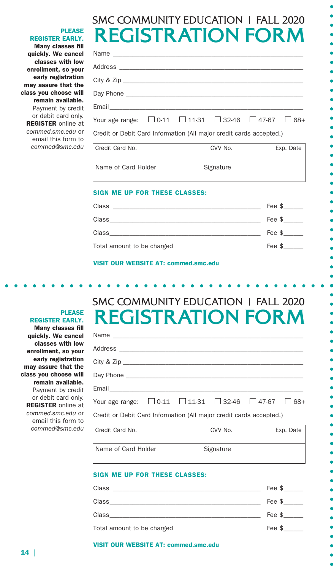# SMC COMMUNITY EDUCATION | FALL 2020 **REGISTRATION FORM**

PLEASE REGISTER EARLY.

Many classes fill quickly. We cancel classes with low enrollment, so your early registration may assure that the class you choose will remain available. Payment by credit or debit card only. REGISTER online at *commed.smc.edu* or email this form to *commed@smc.edu*

| Name                                                                          |           |           |  |  |
|-------------------------------------------------------------------------------|-----------|-----------|--|--|
|                                                                               |           |           |  |  |
|                                                                               |           |           |  |  |
|                                                                               |           |           |  |  |
|                                                                               |           |           |  |  |
| Your age range: $\Box$ 0-11 $\Box$ 11-31 $\Box$ 32-46 $\Box$ 47-67 $\Box$ 68+ |           |           |  |  |
| Credit or Debit Card Information (All major credit cards accepted.)           |           |           |  |  |
| Credit Card No.                                                               | CVV No.   | Exp. Date |  |  |
| Name of Card Holder                                                           | Signature |           |  |  |

# SIGN ME UP FOR THESE CLASSES:

| Class                      | Fee \$ |
|----------------------------|--------|
| Class                      | Fee \$ |
| Class                      | Fee \$ |
| Total amount to be charged | Fee \$ |

SMC COMMUNITY EDUCATION | FALL 2020 **REGISTRATION EORM** 

### VISIT OUR WEBSITE AT: commed.smc.edu

### PLEASE REGISTER EARLY.

| INLUIDI INAHUJIN LUINIVI                                                      |  |         |           |
|-------------------------------------------------------------------------------|--|---------|-----------|
|                                                                               |  |         |           |
|                                                                               |  |         |           |
|                                                                               |  |         |           |
|                                                                               |  |         |           |
|                                                                               |  |         |           |
| Your age range: $\Box$ 0-11 $\Box$ 11-31 $\Box$ 32-46 $\Box$ 47-67 $\Box$ 68+ |  |         |           |
| Credit or Debit Card Information (All major credit cards accepted.)           |  |         |           |
| Credit Card No.                                                               |  | CVV No. | Exp. Date |
|                                                                               |  |         |           |

### SIGN ME UP FOR THESE CLASSES:

Name of Card Holder Signature

| Class                      | Fee \$ |
|----------------------------|--------|
| Class                      | Fee \$ |
| Class                      | Fee \$ |
| Total amount to be charged | Fee \$ |

Many classes fill quickly. We cancel classes with low enrollment, so your early registration may assure that the class you choose will remain available. Payment by credit or debit card only. REGISTER online at *commed.smc.edu* or email this form to *commed@smc.edu*

VISIT OUR WEBSITE AT: commed.smc.edu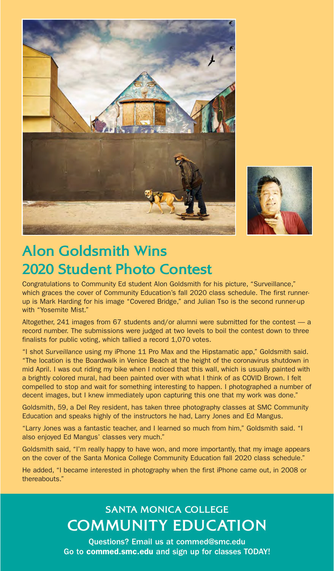



# **Alon Goldsmith Wins 2020 Student Photo Contest**

Congratulations to Community Ed student Alon Goldsmith for his picture, "Surveillance," which graces the cover of Community Education's fall 2020 class schedule. The first runnerup is Mark Harding for his image "Covered Bridge," and Julian Tso is the second runner-up with "Yosemite Mist."

Altogether, 241 images from 67 students and/or alumni were submitted for the contest — a record number. The submissions were judged at two levels to boil the contest down to three finalists for public voting, which tallied a record 1,070 votes.

"I shot *Surveillance* using my iPhone 11 Pro Max and the Hipstamatic app," Goldsmith said. "The location is the Boardwalk in Venice Beach at the height of the coronavirus shutdown in mid April. I was out riding my bike when I noticed that this wall, which is usually painted with a brightly colored mural, had been painted over with what I think of as COVID Brown. I felt compelled to stop and wait for something interesting to happen. I photographed a number of decent images, but I knew immediately upon capturing this one that my work was done."

Goldsmith, 59, a Del Rey resident, has taken three photography classes at SMC Community Education and speaks highly of the instructors he had, Larry Jones and Ed Mangus.

"Larry Jones was a fantastic teacher, and I learned so much from him," Goldsmith said. "I also enjoyed Ed Mangus' classes very much."

Goldsmith said, "I'm really happy to have won, and more importantly, that my image appears on the cover of the Santa Monica College Community Education fall 2020 class schedule."

He added, "I became interested in photography when the first iPhone came out, in 2008 or thereabouts."

# **SANTA MONICA COLLEGE COMMUNITY EDUCATION**

Questions? Email us at commed@smc.edu Go to commed.smc.edu and sign up for classes TODAY!